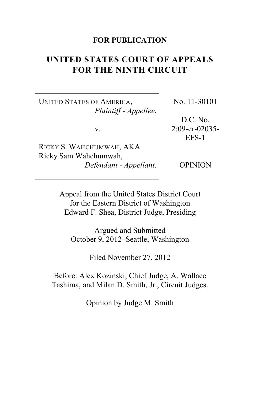## **FOR PUBLICATION**

# **UNITED STATES COURT OF APPEALS FOR THE NINTH CIRCUIT**

UNITED STATES OF AMERICA, *Plaintiff - Appellee*,

v.

RICKY S. WAHCHUMWAH, AKA Ricky Sam Wahchumwah, *Defendant - Appellant*. No. 11-30101

D.C. No. 2:09-cr-02035- EFS-1

OPINION

Appeal from the United States District Court for the Eastern District of Washington Edward F. Shea, District Judge, Presiding

Argued and Submitted October 9, 2012–Seattle, Washington

Filed November 27, 2012

Before: Alex Kozinski, Chief Judge, A. Wallace Tashima, and Milan D. Smith, Jr., Circuit Judges.

Opinion by Judge M. Smith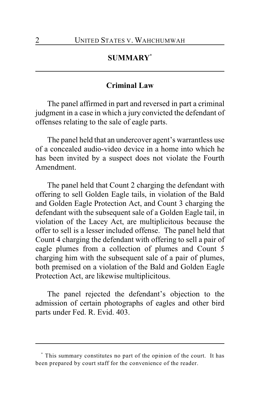# **SUMMARY \***

#### **Criminal Law**

The panel affirmed in part and reversed in part a criminal judgment in a case in which a jury convicted the defendant of offenses relating to the sale of eagle parts.

The panel held that an undercover agent's warrantless use of a concealed audio-video device in a home into which he has been invited by a suspect does not violate the Fourth Amendment.

The panel held that Count 2 charging the defendant with offering to sell Golden Eagle tails, in violation of the Bald and Golden Eagle Protection Act, and Count 3 charging the defendant with the subsequent sale of a Golden Eagle tail, in violation of the Lacey Act, are multiplicitous because the offer to sell is a lesser included offense. The panel held that Count 4 charging the defendant with offering to sell a pair of eagle plumes from a collection of plumes and Count 5 charging him with the subsequent sale of a pair of plumes, both premised on a violation of the Bald and Golden Eagle Protection Act, are likewise multiplicitous.

The panel rejected the defendant's objection to the admission of certain photographs of eagles and other bird parts under Fed. R. Evid. 403.

This summary constitutes no part of the opinion of the court. It has **\*** been prepared by court staff for the convenience of the reader.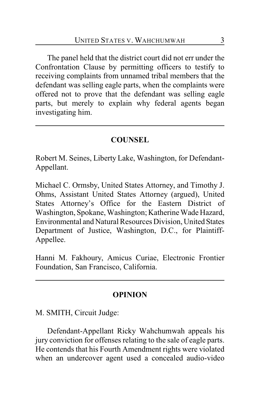The panel held that the district court did not err under the Confrontation Clause by permitting officers to testify to receiving complaints from unnamed tribal members that the defendant was selling eagle parts, when the complaints were offered not to prove that the defendant was selling eagle parts, but merely to explain why federal agents began investigating him.

# **COUNSEL**

Robert M. Seines, Liberty Lake, Washington, for Defendant-Appellant.

Michael C. Ormsby, United States Attorney, and Timothy J. Ohms, Assistant United States Attorney (argued), United States Attorney's Office for the Eastern District of Washington, Spokane, Washington; Katherine Wade Hazard, Environmental and Natural Resources Division, United States Department of Justice, Washington, D.C., for Plaintiff-Appellee.

Hanni M. Fakhoury, Amicus Curiae, Electronic Frontier Foundation, San Francisco, California.

## **OPINION**

M. SMITH, Circuit Judge:

Defendant-Appellant Ricky Wahchumwah appeals his jury conviction for offenses relating to the sale of eagle parts. He contends that his Fourth Amendment rights were violated when an undercover agent used a concealed audio-video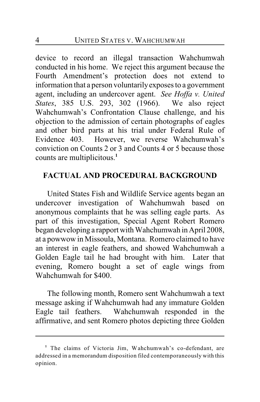device to record an illegal transaction Wahchumwah conducted in his home. We reject this argument because the Fourth Amendment's protection does not extend to information that a person voluntarily exposes to a government agent, including an undercover agent. *See Hoffa v. United States*, 385 U.S. 293, 302 (1966). We also reject Wahchumwah's Confrontation Clause challenge, and his objection to the admission of certain photographs of eagles and other bird parts at his trial under Federal Rule of Evidence 403. However, we reverse Wahchumwah's conviction on Counts 2 or 3 and Counts 4 or 5 because those counts are multiplicitous. **1**

## **FACTUAL AND PROCEDURAL BACKGROUND**

United States Fish and Wildlife Service agents began an undercover investigation of Wahchumwah based on anonymous complaints that he was selling eagle parts. As part of this investigation, Special Agent Robert Romero began developing a rapport with Wahchumwah in April 2008, at a powwow in Missoula, Montana. Romero claimed to have an interest in eagle feathers, and showed Wahchumwah a Golden Eagle tail he had brought with him. Later that evening, Romero bought a set of eagle wings from Wahchumwah for \$400.

The following month, Romero sent Wahchumwah a text message asking if Wahchumwah had any immature Golden Eagle tail feathers. Wahchumwah responded in the affirmative, and sent Romero photos depicting three Golden

<sup>&</sup>lt;sup>1</sup> The claims of Victoria Jim, Wahchumwah's co-defendant, are addressed in a memorandum disposition filed contemporaneously with this opinion.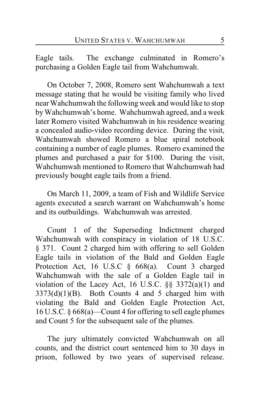Eagle tails. The exchange culminated in Romero's purchasing a Golden Eagle tail from Wahchumwah.

On October 7, 2008, Romero sent Wahchumwah a text message stating that he would be visiting family who lived near Wahchumwah the following week and would like to stop by Wahchumwah's home. Wahchumwah agreed, and a week later Romero visited Wahchumwah in his residence wearing a concealed audio-video recording device. During the visit, Wahchumwah showed Romero a blue spiral notebook containing a number of eagle plumes. Romero examined the plumes and purchased a pair for \$100. During the visit, Wahchumwah mentioned to Romero that Wahchumwah had previously bought eagle tails from a friend.

On March 11, 2009, a team of Fish and Wildlife Service agents executed a search warrant on Wahchumwah's home and its outbuildings. Wahchumwah was arrested.

Count 1 of the Superseding Indictment charged Wahchumwah with conspiracy in violation of 18 U.S.C. § 371. Count 2 charged him with offering to sell Golden Eagle tails in violation of the Bald and Golden Eagle Protection Act, 16 U.S.C § 668(a). Count 3 charged Wahchumwah with the sale of a Golden Eagle tail in violation of the Lacey Act, 16 U.S.C.  $\S$ § 3372(a)(1) and  $3373(d)(1)(B)$ . Both Counts 4 and 5 charged him with violating the Bald and Golden Eagle Protection Act, 16 U.S.C. § 668(a)—Count 4 for offering to sell eagle plumes and Count 5 for the subsequent sale of the plumes.

The jury ultimately convicted Wahchumwah on all counts, and the district court sentenced him to 30 days in prison, followed by two years of supervised release.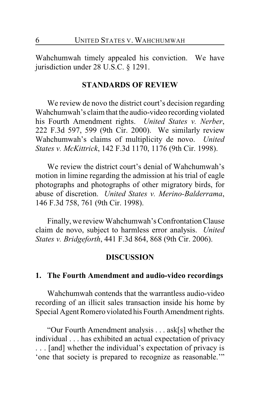Wahchumwah timely appealed his conviction. We have jurisdiction under 28 U.S.C. § 1291.

#### **STANDARDS OF REVIEW**

We review de novo the district court's decision regarding Wahchumwah's claim that the audio-video recording violated his Fourth Amendment rights. *United States v. Nerber*, 222 F.3d 597, 599 (9th Cir. 2000). We similarly review Wahchumwah's claims of multiplicity de novo. *United States v. McKittrick*, 142 F.3d 1170, 1176 (9th Cir. 1998).

We review the district court's denial of Wahchumwah's motion in limine regarding the admission at his trial of eagle photographs and photographs of other migratory birds, for abuse of discretion. *United States v. Merino-Balderrama*, 146 F.3d 758, 761 (9th Cir. 1998).

Finally, we review Wahchumwah's Confrontation Clause claim de novo, subject to harmless error analysis. *United States v. Bridgeforth*, 441 F.3d 864, 868 (9th Cir. 2006).

#### **DISCUSSION**

# **1. The Fourth Amendment and audio-video recordings**

Wahchumwah contends that the warrantless audio-video recording of an illicit sales transaction inside his home by Special Agent Romero violated his Fourth Amendment rights.

"Our Fourth Amendment analysis . . . ask[s] whether the individual . . . has exhibited an actual expectation of privacy . . . [and] whether the individual's expectation of privacy is 'one that society is prepared to recognize as reasonable.'"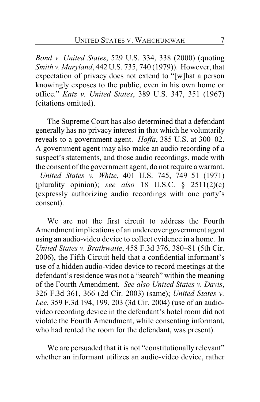*Bond v. United States*, 529 U.S. 334, 338 (2000) (quoting *Smith v. Maryland*, 442 U.S. 735, 740 (1979)). However, that expectation of privacy does not extend to "[w]hat a person knowingly exposes to the public, even in his own home or office." *Katz v. United States*, 389 U.S. 347, 351 (1967) (citations omitted).

The Supreme Court has also determined that a defendant generally has no privacy interest in that which he voluntarily reveals to a government agent. *Hoffa*, 385 U.S. at 300–02. A government agent may also make an audio recording of a suspect's statements, and those audio recordings, made with the consent of the government agent, do not require a warrant.  *United States v. White*, 401 U.S. 745, 749–51 (1971) (plurality opinion); *see also* 18 U.S.C. § 2511(2)(c) (expressly authorizing audio recordings with one party's consent).

We are not the first circuit to address the Fourth Amendment implications of an undercover government agent using an audio-video device to collect evidence in a home. In *United States v. Brathwaite*, 458 F.3d 376, 380–81 (5th Cir. 2006), the Fifth Circuit held that a confidential informant's use of a hidden audio-video device to record meetings at the defendant's residence was not a "search" within the meaning of the Fourth Amendment. *See also United States v. Davis*, 326 F.3d 361, 366 (2d Cir. 2003) (same); *United States v. Lee*, 359 F.3d 194, 199, 203 (3d Cir. 2004) (use of an audiovideo recording device in the defendant's hotel room did not violate the Fourth Amendment, while consenting informant, who had rented the room for the defendant, was present).

We are persuaded that it is not "constitutionally relevant" whether an informant utilizes an audio-video device, rather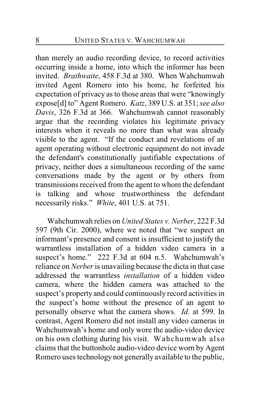than merely an audio recording device, to record activities occurring inside a home, into which the informer has been invited. *Brathwaite*, 458 F.3d at 380. When Wahchumwah invited Agent Romero into his home, he forfeited his expectation of privacy as to those areas that were "knowingly expose[d] to" Agent Romero. *Katz*, 389 U.S. at 351; *see also Davis*, 326 F.3d at 366. Wahchumwah cannot reasonably argue that the recording violates his legitimate privacy interests when it reveals no more than what was already visible to the agent. "If the conduct and revelations of an agent operating without electronic equipment do not invade the defendant's constitutionally justifiable expectations of privacy, neither does a simultaneous recording of the same conversations made by the agent or by others from transmissions received from the agent to whom the defendant is talking and whose trustworthiness the defendant necessarily risks." *White*, 401 U.S. at 751.

Wahchumwah relies on *United States v. Nerber*, 222 F.3d 597 (9th Cir. 2000), where we noted that "we suspect an informant's presence and consent is insufficient to justify the warrantless installation of a hidden video camera in a suspect's home." 222 F.3d at 604 n.5. Wahchumwah's reliance on *Nerber* is unavailing because the dicta in that case addressed the warrantless *installation* of a hidden video camera, where the hidden camera was attached to the suspect's property and could continuously record activities in the suspect's home without the presence of an agent to personally observe what the camera shows. *Id.* at 599. In contrast, Agent Romero did not install any video cameras in Wahchumwah's home and only wore the audio-video device on his own clothing during his visit. Wahchumwah also claims that the buttonhole audio-video device worn by Agent Romero uses technology not generally available to the public,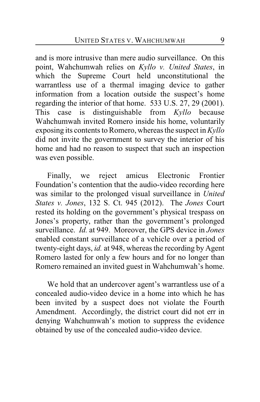and is more intrusive than mere audio surveillance. On this point, Wahchumwah relies on *Kyllo v. United States*, in which the Supreme Court held unconstitutional the warrantless use of a thermal imaging device to gather information from a location outside the suspect's home regarding the interior of that home. 533 U.S. 27, 29 (2001). This case is distinguishable from *Kyllo* because Wahchumwah invited Romero inside his home, voluntarily exposing its contents to Romero, whereas the suspect in *Kyllo* did not invite the government to survey the interior of his home and had no reason to suspect that such an inspection was even possible.

Finally, we reject amicus Electronic Frontier Foundation's contention that the audio-video recording here was similar to the prolonged visual surveillance in *United States v. Jones*, 132 S. Ct. 945 (2012). The *Jones* Court rested its holding on the government's physical trespass on Jones's property, rather than the government's prolonged surveillance. *Id.* at 949. Moreover, the GPS device in *Jones* enabled constant surveillance of a vehicle over a period of twenty-eight days, *id.* at 948, whereas the recording by Agent Romero lasted for only a few hours and for no longer than Romero remained an invited guest in Wahchumwah's home.

We hold that an undercover agent's warrantless use of a concealed audio-video device in a home into which he has been invited by a suspect does not violate the Fourth Amendment. Accordingly, the district court did not err in denying Wahchumwah's motion to suppress the evidence obtained by use of the concealed audio-video device.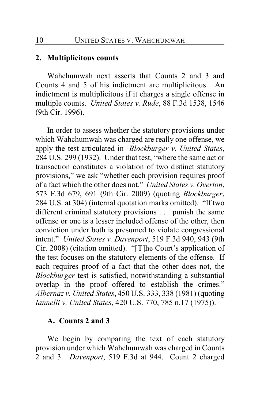#### **2. Multiplicitous counts**

Wahchumwah next asserts that Counts 2 and 3 and Counts 4 and 5 of his indictment are multiplicitous. An indictment is multiplicitous if it charges a single offense in multiple counts. *United States v. Rude*, 88 F.3d 1538, 1546 (9th Cir. 1996).

In order to assess whether the statutory provisions under which Wahchumwah was charged are really one offense, we apply the test articulated in *Blockburger v. United States*, 284 U.S. 299 (1932). Under that test, "where the same act or transaction constitutes a violation of two distinct statutory provisions," we ask "whether each provision requires proof of a fact which the other does not." *United States v. Overton*, 573 F.3d 679, 691 (9th Cir. 2009) (quoting *Blockburger*, 284 U.S. at 304) (internal quotation marks omitted). "If two different criminal statutory provisions . . . punish the same offense or one is a lesser included offense of the other, then conviction under both is presumed to violate congressional intent." *United States v. Davenport*, 519 F.3d 940, 943 (9th Cir. 2008) (citation omitted). "[T]he Court's application of the test focuses on the statutory elements of the offense. If each requires proof of a fact that the other does not, the *Blockburger* test is satisfied, notwithstanding a substantial overlap in the proof offered to establish the crimes." *Albernaz v. United States*, 450 U.S. 333, 338 (1981) (quoting *Iannelli v. United States*, 420 U.S. 770, 785 n.17 (1975)).

#### **A. Counts 2 and 3**

We begin by comparing the text of each statutory provision under which Wahchumwah was charged in Counts 2 and 3. *Davenport*, 519 F.3d at 944. Count 2 charged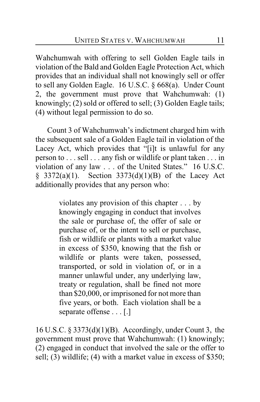Wahchumwah with offering to sell Golden Eagle tails in violation of the Bald and Golden Eagle Protection Act, which provides that an individual shall not knowingly sell or offer to sell any Golden Eagle. 16 U.S.C. § 668(a). Under Count 2, the government must prove that Wahchumwah: (1) knowingly; (2) sold or offered to sell; (3) Golden Eagle tails; (4) without legal permission to do so.

Count 3 of Wahchumwah's indictment charged him with the subsequent sale of a Golden Eagle tail in violation of the Lacey Act, which provides that "[i]t is unlawful for any person to . . . sell . . . any fish or wildlife or plant taken . . . in violation of any law . . . of the United States." 16 U.S.C. § 3372(a)(1). Section 3373(d)(1)(B) of the Lacey Act additionally provides that any person who:

> violates any provision of this chapter . . . by knowingly engaging in conduct that involves the sale or purchase of, the offer of sale or purchase of, or the intent to sell or purchase, fish or wildlife or plants with a market value in excess of \$350, knowing that the fish or wildlife or plants were taken, possessed, transported, or sold in violation of, or in a manner unlawful under, any underlying law, treaty or regulation, shall be fined not more than \$20,000, or imprisoned for not more than five years, or both. Each violation shall be a separate offense . . . [.]

16 U.S.C. § 3373(d)(1)(B). Accordingly, under Count 3, the government must prove that Wahchumwah: (1) knowingly; (2) engaged in conduct that involved the sale or the offer to sell; (3) wildlife; (4) with a market value in excess of \$350;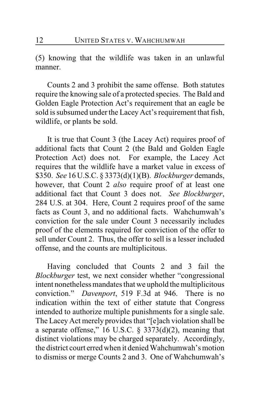(5) knowing that the wildlife was taken in an unlawful manner.

Counts 2 and 3 prohibit the same offense. Both statutes require the knowing sale of a protected species. The Bald and Golden Eagle Protection Act's requirement that an eagle be sold is subsumed under the Lacey Act's requirement that fish, wildlife, or plants be sold.

It is true that Count 3 (the Lacey Act) requires proof of additional facts that Count 2 (the Bald and Golden Eagle Protection Act) does not. For example, the Lacey Act requires that the wildlife have a market value in excess of \$350. *See* 16 U.S.C. § 3373(d)(1)(B). *Blockburger* demands, however, that Count 2 *also* require proof of at least one additional fact that Count 3 does not. *See Blockburger*, 284 U.S. at 304. Here, Count 2 requires proof of the same facts as Count 3, and no additional facts. Wahchumwah's conviction for the sale under Count 3 necessarily includes proof of the elements required for conviction of the offer to sell under Count 2. Thus, the offer to sell is a lesser included offense, and the counts are multiplicitous.

Having concluded that Counts 2 and 3 fail the *Blockburger* test, we next consider whether "congressional intent nonetheless mandates that we uphold the multiplicitous conviction." *Davenport*, 519 F.3d at 946. There is no indication within the text of either statute that Congress intended to authorize multiple punishments for a single sale. The Lacey Act merely provides that "[e]ach violation shall be a separate offense," 16 U.S.C.  $\S$  3373(d)(2), meaning that distinct violations may be charged separately. Accordingly, the district court erred when it denied Wahchumwah's motion to dismiss or merge Counts 2 and 3. One of Wahchumwah's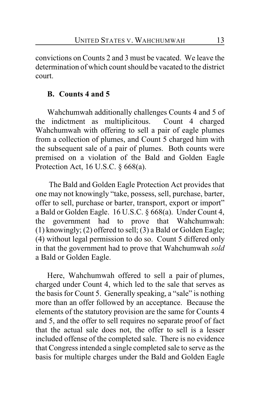convictions on Counts 2 and 3 must be vacated. We leave the determination of which count should be vacated to the district court.

#### **B. Counts 4 and 5**

Wahchumwah additionally challenges Counts 4 and 5 of the indictment as multiplicitous. Count 4 charged Wahchumwah with offering to sell a pair of eagle plumes from a collection of plumes, and Count 5 charged him with the subsequent sale of a pair of plumes. Both counts were premised on a violation of the Bald and Golden Eagle Protection Act, 16 U.S.C. § 668(a).

The Bald and Golden Eagle Protection Act provides that one may not knowingly "take, possess, sell, purchase, barter, offer to sell, purchase or barter, transport, export or import" a Bald or Golden Eagle. 16 U.S.C. § 668(a). Under Count 4, the government had to prove that Wahchumwah: (1) knowingly; (2) offered to sell; (3) a Bald or Golden Eagle; (4) without legal permission to do so. Count 5 differed only in that the government had to prove that Wahchumwah *sold* a Bald or Golden Eagle.

Here, Wahchumwah offered to sell a pair of plumes, charged under Count 4, which led to the sale that serves as the basis for Count 5. Generally speaking, a "sale" is nothing more than an offer followed by an acceptance. Because the elements of the statutory provision are the same for Counts 4 and 5, and the offer to sell requires no separate proof of fact that the actual sale does not, the offer to sell is a lesser included offense of the completed sale. There is no evidence that Congress intended a single completed sale to serve as the basis for multiple charges under the Bald and Golden Eagle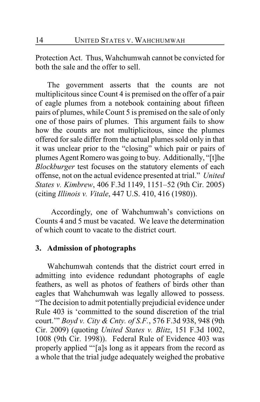Protection Act. Thus, Wahchumwah cannot be convicted for both the sale and the offer to sell.

The government asserts that the counts are not multiplicitous since Count 4 is premised on the offer of a pair of eagle plumes from a notebook containing about fifteen pairs of plumes, while Count 5 is premised on the sale of only one of those pairs of plumes. This argument fails to show how the counts are not multiplicitous, since the plumes offered for sale differ from the actual plumes sold only in that it was unclear prior to the "closing" which pair or pairs of plumes Agent Romero was going to buy. Additionally, "[t]he *Blockburger* test focuses on the statutory elements of each offense, not on the actual evidence presented at trial." *United States v. Kimbrew*, 406 F.3d 1149, 1151–52 (9th Cir. 2005) (citing *Illinois v. Vitale*, 447 U.S. 410, 416 (1980)).

 Accordingly, one of Wahchumwah's convictions on Counts 4 and 5 must be vacated. We leave the determination of which count to vacate to the district court.

## **3. Admission of photographs**

Wahchumwah contends that the district court erred in admitting into evidence redundant photographs of eagle feathers, as well as photos of feathers of birds other than eagles that Wahchumwah was legally allowed to possess. "The decision to admit potentially prejudicial evidence under Rule 403 is 'committed to the sound discretion of the trial court.'" *Boyd v. City & Cnty. of S.F.*, 576 F.3d 938, 948 (9th Cir. 2009) (quoting *United States v. Blitz*, 151 F.3d 1002, 1008 (9th Cir. 1998)). Federal Rule of Evidence 403 was properly applied "'[a]s long as it appears from the record as a whole that the trial judge adequately weighed the probative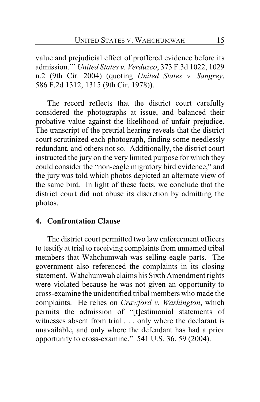value and prejudicial effect of proffered evidence before its admission.'" *United States v. Verduzco*, 373 F.3d 1022, 1029 n.2 (9th Cir. 2004) (quoting *United States v. Sangrey*, 586 F.2d 1312, 1315 (9th Cir. 1978)).

The record reflects that the district court carefully considered the photographs at issue, and balanced their probative value against the likelihood of unfair prejudice. The transcript of the pretrial hearing reveals that the district court scrutinized each photograph, finding some needlessly redundant, and others not so. Additionally, the district court instructed the jury on the very limited purpose for which they could consider the "non-eagle migratory bird evidence," and the jury was told which photos depicted an alternate view of the same bird. In light of these facts, we conclude that the district court did not abuse its discretion by admitting the photos.

## **4. Confrontation Clause**

The district court permitted two law enforcement officers to testify at trial to receiving complaints from unnamed tribal members that Wahchumwah was selling eagle parts. The government also referenced the complaints in its closing statement. Wahchumwah claims his Sixth Amendment rights were violated because he was not given an opportunity to cross-examine the unidentified tribal members who made the complaints. He relies on *Crawford v. Washington*, which permits the admission of "[t]estimonial statements of witnesses absent from trial . . . only where the declarant is unavailable, and only where the defendant has had a prior opportunity to cross-examine." 541 U.S. 36, 59 (2004).